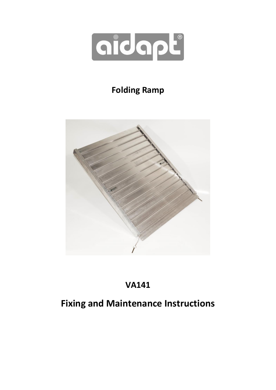

# **Folding Ramp**



# **VA141**

# **Fixing and Maintenance Instructions**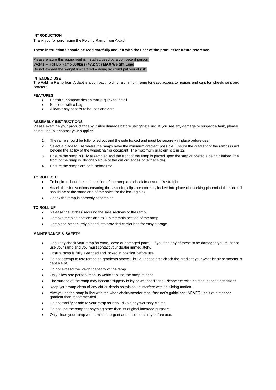# **INTRODUCTION**

Thank you for purchasing the Folding Ramp from Aidapt.

### **These instructions should be read carefully and left with the user of the product for future reference.**

Please ensure this equipment is installed/used by a competent person. VA141 – Roll Up Ramp **300kgs (47.2 St.) MAX Weight Load** Do not exceed the weight limit stated – doing so could put you at risk.

### **INTENDED USE**

The Folding Ramp from Aidapt is a compact, folding, aluminium ramp for easy access to houses and cars for wheelchairs and scooters.

# **FEATURES**

- Portable, compact design that is quick to install
- Supplied with a bag
- Allows easy access to houses and cars

#### **ASSEMBLY INSTRUCTIONS**

Please examine your product for any visible damage before using/installing. If you see any damage or suspect a fault, please do not use, but contact your supplier.

- 1. The ramp should be fully rolled out and the side locked and must be securely in place before use.
- 2. Select a place to use where the ramps have the minimum gradient possible. Ensure the gradient of the ramps is not beyond the ability of the wheelchair or occupant. The maximum gradient is 1 in 12.
- 3. Ensure the ramp is fully assembled and the front of the ramp is placed upon the step or obstacle being climbed (the front of the ramp is identifiable due to the cut out edges on either side).
- 4. Ensure the ramps are safe before use.

### **TO ROLL OUT**

- To begin, roll out the main section of the ramp and check to ensure it's straight.
- Attach the side sections ensuring the fastening clips are correctly locked into place (the locking pin end of the side rail should be at the same end of the holes for the locking pin).
- Check the ramp is correctly assembled.

### **TO ROLL UP**

- Release the latches securing the side sections to the ramp.
- Remove the side sections and roll up the main section of the ramp
- Ramp can be securely placed into provided carrier bag for easy storage.

## **MAINTENANCE & SAFETY**

- Regularly check your ramp for worn, loose or damaged parts If you find any of these to be damaged you must not use your ramp and you must contact your dealer immediately.
- Ensure ramp is fully extended and locked in position before use.
- Do not attempt to use ramps on gradients above 1 in 12. Please also check the gradient your wheelchair or scooter is capable of.
- Do not exceed the weight capacity of the ramp.
- Only allow one person/ mobility vehicle to use the ramp at once.
- The surface of the ramp may become slippery in icy or wet conditions. Please exercise caution in these conditions.
- Keep your ramp clean of any dirt or debris as this could interfere with its sliding motion.
- Always use the ramp in line with the wheelchairs/scooter manufacturer's guidelines; NEVER use it at a steeper gradient than recommended.
- Do not modify or add to your ramp as it could void any warranty claims.
- Do not use the ramp for anything other than its original intended purpose.
- Only clean your ramp with a mild detergent and ensure it is dry before use.